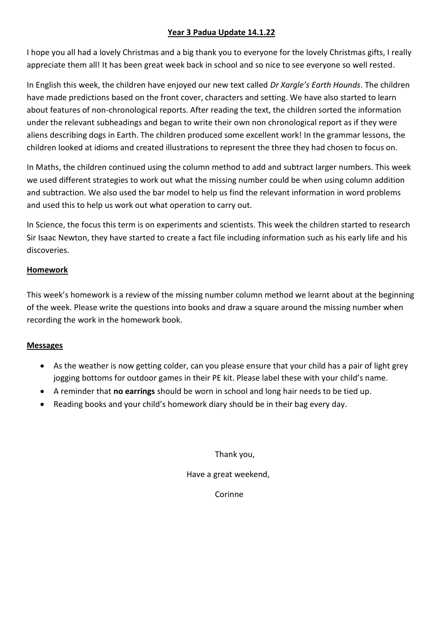## **Year 3 Padua Update 14.1.22**

I hope you all had a lovely Christmas and a big thank you to everyone for the lovely Christmas gifts, I really appreciate them all! It has been great week back in school and so nice to see everyone so well rested.

In English this week, the children have enjoyed our new text called *Dr Xargle's Earth Hounds*. The children have made predictions based on the front cover, characters and setting. We have also started to learn about features of non-chronological reports. After reading the text, the children sorted the information under the relevant subheadings and began to write their own non chronological report as if they were aliens describing dogs in Earth. The children produced some excellent work! In the grammar lessons, the children looked at idioms and created illustrations to represent the three they had chosen to focus on.

In Maths, the children continued using the column method to add and subtract larger numbers. This week we used different strategies to work out what the missing number could be when using column addition and subtraction. We also used the bar model to help us find the relevant information in word problems and used this to help us work out what operation to carry out.

In Science, the focus this term is on experiments and scientists. This week the children started to research Sir Isaac Newton, they have started to create a fact file including information such as his early life and his discoveries.

## **Homework**

This week's homework is a review of the missing number column method we learnt about at the beginning of the week. Please write the questions into books and draw a square around the missing number when recording the work in the homework book.

## **Messages**

- As the weather is now getting colder, can you please ensure that your child has a pair of light grey jogging bottoms for outdoor games in their PE kit. Please label these with your child's name.
- A reminder that **no earrings** should be worn in school and long hair needs to be tied up.
- Reading books and your child's homework diary should be in their bag every day.

Thank you,

Have a great weekend,

Corinne